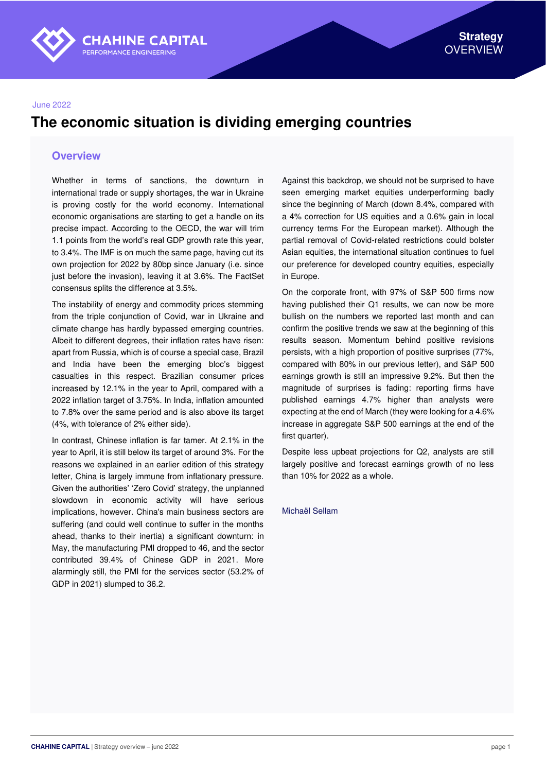

#### June 2022

## **The economic situation is dividing emerging countries**

#### **Overview**

Whether in terms of sanctions, the downturn in international trade or supply shortages, the war in Ukraine is proving costly for the world economy. International economic organisations are starting to get a handle on its precise impact. According to the OECD, the war will trim 1.1 points from the world's real GDP growth rate this year, to 3.4%. The IMF is on much the same page, having cut its own projection for 2022 by 80bp since January (i.e. since just before the invasion), leaving it at 3.6%. The FactSet consensus splits the difference at 3.5%.

The instability of energy and commodity prices stemming from the triple conjunction of Covid, war in Ukraine and climate change has hardly bypassed emerging countries. Albeit to different degrees, their inflation rates have risen: apart from Russia, which is of course a special case, Brazil and India have been the emerging bloc's biggest casualties in this respect. Brazilian consumer prices increased by 12.1% in the year to April, compared with a 2022 inflation target of 3.75%. In India, inflation amounted to 7.8% over the same period and is also above its target (4%, with tolerance of 2% either side).

In contrast, Chinese inflation is far tamer. At 2.1% in the year to April, it is still below its target of around 3%. For the reasons we explained in an earlier edition of this strategy letter, China is largely immune from inflationary pressure. Given the authorities' 'Zero Covid' strategy, the unplanned slowdown in economic activity will have serious implications, however. China's main business sectors are suffering (and could well continue to suffer in the months ahead, thanks to their inertia) a significant downturn: in May, the manufacturing PMI dropped to 46, and the sector contributed 39.4% of Chinese GDP in 2021. More alarmingly still, the PMI for the services sector (53.2% of GDP in 2021) slumped to 36.2.

Against this backdrop, we should not be surprised to have seen emerging market equities underperforming badly since the beginning of March (down 8.4%, compared with a 4% correction for US equities and a 0.6% gain in local currency terms For the European market). Although the partial removal of Covid-related restrictions could bolster Asian equities, the international situation continues to fuel our preference for developed country equities, especially in Europe.

On the corporate front, with 97% of S&P 500 firms now having published their Q1 results, we can now be more bullish on the numbers we reported last month and can confirm the positive trends we saw at the beginning of this results season. Momentum behind positive revisions persists, with a high proportion of positive surprises (77%, compared with 80% in our previous letter), and S&P 500 earnings growth is still an impressive 9.2%. But then the magnitude of surprises is fading: reporting firms have published earnings 4.7% higher than analysts were expecting at the end of March (they were looking for a 4.6% increase in aggregate S&P 500 earnings at the end of the first quarter).

Despite less upbeat projections for Q2, analysts are still largely positive and forecast earnings growth of no less than 10% for 2022 as a whole.

Michaël Sellam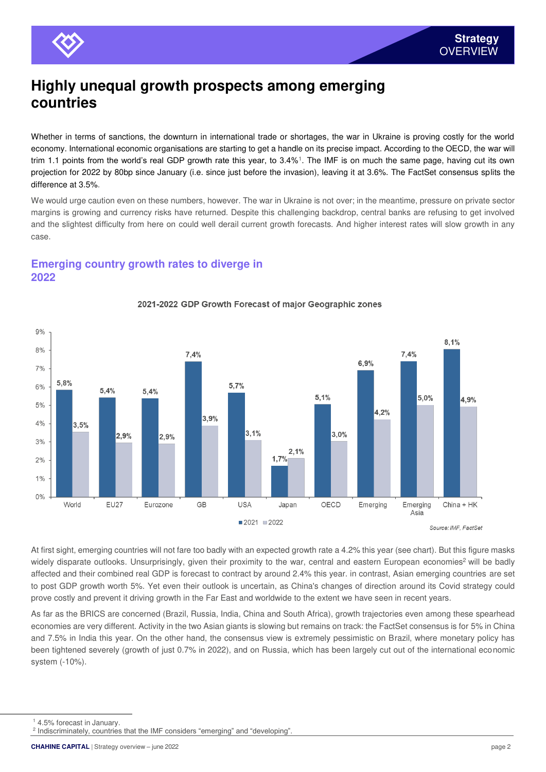

## **Highly unequal growth prospects among emerging countries**

Whether in terms of sanctions, the downturn in international trade or shortages, the war in Ukraine is proving costly for the world economy. International economic organisations are starting to get a handle on its precise impact. According to the OECD, the war will trim 1.1 points from the world's real GDP growth rate this year, to 3.4%<sup>1</sup>. The IMF is on much the same page, having cut its own projection for 2022 by 80bp since January (i.e. since just before the invasion), leaving it at 3.6%. The FactSet consensus splits the difference at 3.5%.

We would urge caution even on these numbers, however. The war in Ukraine is not over; in the meantime, pressure on private sector margins is growing and currency risks have returned. Despite this challenging backdrop, central banks are refusing to get involved and the slightest difficulty from here on could well derail current growth forecasts. And higher interest rates will slow growth in any case.

#### **Emerging country growth rates to diverge in 2022**



#### 2021-2022 GDP Growth Forecast of maior Geographic zones

At first sight, emerging countries will not fare too badly with an expected growth rate a 4.2% this year (see chart). But this figure masks widely disparate outlooks. Unsurprisingly, given their proximity to the war, central and eastern European economies<sup>2</sup> will be badly affected and their combined real GDP is forecast to contract by around 2.4% this year. in contrast, Asian emerging countries are set to post GDP growth worth 5%. Yet even their outlook is uncertain, as China's changes of direction around its Covid strategy could prove costly and prevent it driving growth in the Far East and worldwide to the extent we have seen in recent years.

As far as the BRICS are concerned (Brazil, Russia, India, China and South Africa), growth trajectories even among these spearhead economies are very different. Activity in the two Asian giants is slowing but remains on track: the FactSet consensus is for 5% in China and 7.5% in India this year. On the other hand, the consensus view is extremely pessimistic on Brazil, where monetary policy has been tightened severely (growth of just 0.7% in 2022), and on Russia, which has been largely cut out of the international economic system (-10%).

<sup>1</sup> 4.5% forecast in January.

<sup>&</sup>lt;sup>2</sup> Indiscriminately, countries that the IMF considers "emerging" and "developing".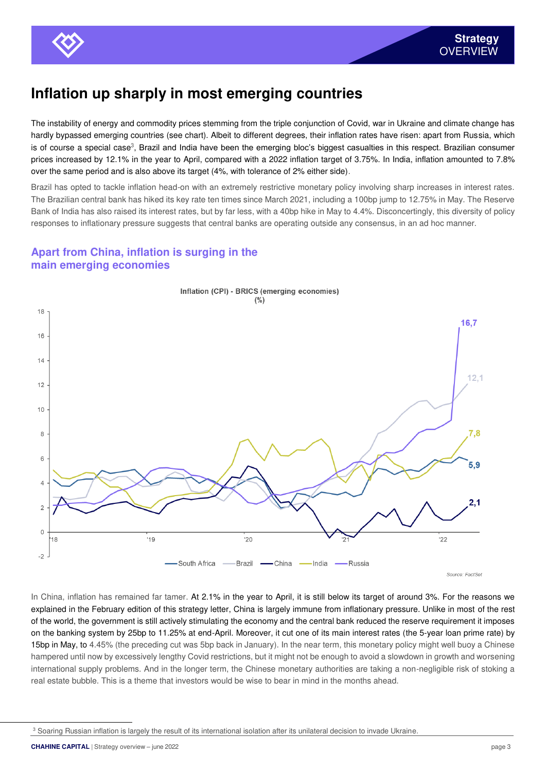

## **Inflation up sharply in most emerging countries**

The instability of energy and commodity prices stemming from the triple conjunction of Covid, war in Ukraine and climate change has hardly bypassed emerging countries (see chart). Albeit to different degrees, their inflation rates have risen: apart from Russia, which is of course a special case<sup>3</sup>, Brazil and India have been the emerging bloc's biggest casualties in this respect. Brazilian consumer prices increased by 12.1% in the year to April, compared with a 2022 inflation target of 3.75%. In India, inflation amounted to 7.8% over the same period and is also above its target (4%, with tolerance of 2% either side).

Brazil has opted to tackle inflation head-on with an extremely restrictive monetary policy involving sharp increases in interest rates. The Brazilian central bank has hiked its key rate ten times since March 2021, including a 100bp jump to 12.75% in May. The Reserve Bank of India has also raised its interest rates, but by far less, with a 40bp hike in May to 4.4%. Disconcertingly, this diversity of policy responses to inflationary pressure suggests that central banks are operating outside any consensus, in an ad hoc manner.

### **Apart from China, inflation is surging in the main emerging economies**



In China, inflation has remained far tamer. At 2.1% in the year to April, it is still below its target of around 3%. For the reasons we explained in the February edition of this strategy letter, China is largely immune from inflationary pressure. Unlike in most of the rest of the world, the government is still actively stimulating the economy and the central bank reduced the reserve requirement it imposes on the banking system by 25bp to 11.25% at end-April. Moreover, it cut one of its main interest rates (the 5-year loan prime rate) by 15bp in May, to 4.45% (the preceding cut was 5bp back in January). In the near term, this monetary policy might well buoy a Chinese hampered until now by excessively lengthy Covid restrictions, but it might not be enough to avoid a slowdown in growth and worsening international supply problems. And in the longer term, the Chinese monetary authorities are taking a non-negligible risk of stoking a real estate bubble. This is a theme that investors would be wise to bear in mind in the months ahead.

<sup>&</sup>lt;sup>3</sup> Soaring Russian inflation is largely the result of its international isolation after its unilateral decision to invade Ukraine.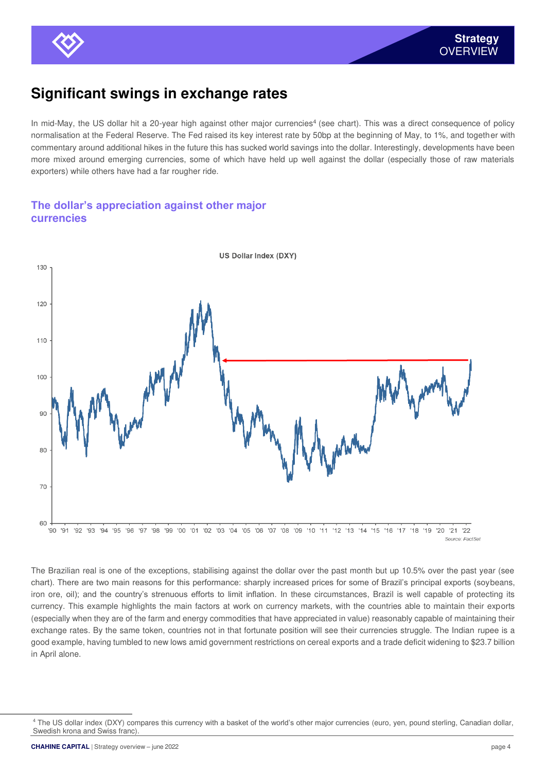

# **Significant swings in exchange rates**

In mid-May, the US dollar hit a 20-year high against other major currencies<sup>4</sup> (see chart). This was a direct consequence of policy normalisation at the Federal Reserve. The Fed raised its key interest rate by 50bp at the beginning of May, to 1%, and together with commentary around additional hikes in the future this has sucked world savings into the dollar. Interestingly, developments have been more mixed around emerging currencies, some of which have held up well against the dollar (especially those of raw materials exporters) while others have had a far rougher ride.

#### **The dollar's appreciation against other major currencies**



The Brazilian real is one of the exceptions, stabilising against the dollar over the past month but up 10.5% over the past year (see chart). There are two main reasons for this performance: sharply increased prices for some of Brazil's principal exports (soybeans, iron ore, oil); and the country's strenuous efforts to limit inflation. In these circumstances, Brazil is well capable of protecting its currency. This example highlights the main factors at work on currency markets, with the countries able to maintain their exports (especially when they are of the farm and energy commodities that have appreciated in value) reasonably capable of maintaining their exchange rates. By the same token, countries not in that fortunate position will see their currencies struggle. The Indian rupee is a good example, having tumbled to new lows amid government restrictions on cereal exports and a trade deficit widening to \$23.7 billion in April alone.

<sup>4</sup> The US dollar index (DXY) compares this currency with a basket of the world's other major currencies (euro, yen, pound sterling, Canadian dollar, Swedish krona and Swiss franc).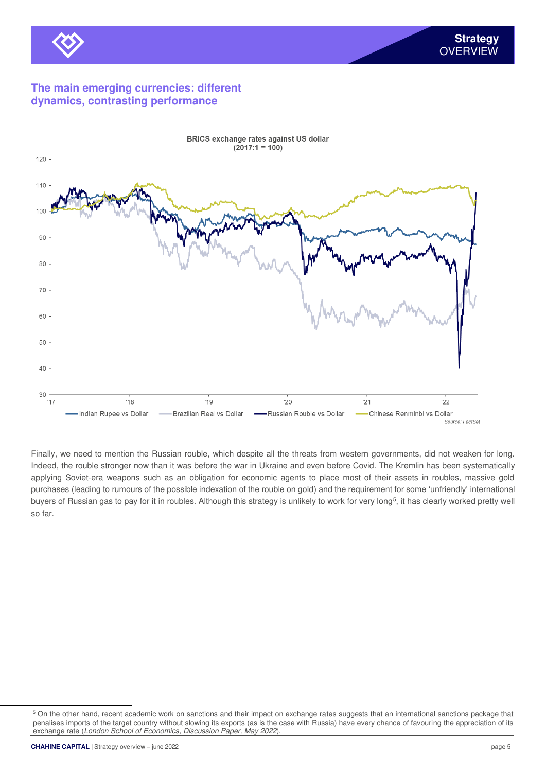

### **The main emerging currencies: different dynamics, contrasting performance**



Finally, we need to mention the Russian rouble, which despite all the threats from western governments, did not weaken for long. Indeed, the rouble stronger now than it was before the war in Ukraine and even before Covid. The Kremlin has been systematically applying Soviet-era weapons such as an obligation for economic agents to place most of their assets in roubles, massive gold purchases (leading to rumours of the possible indexation of the rouble on gold) and the requirement for some 'unfriendly' international buyers of Russian gas to pay for it in roubles. Although this strategy is unlikely to work for very long<sup>5</sup>, it has clearly worked pretty well so far.

<sup>&</sup>lt;sup>5</sup> On the other hand, recent academic work on sanctions and their impact on exchange rates suggests that an international sanctions package that penalises imports of the target country without slowing its exports (as is the case with Russia) have every chance of favouring the appreciation of its exchange rate (London School of Economics, Discussion Paper, May 2022).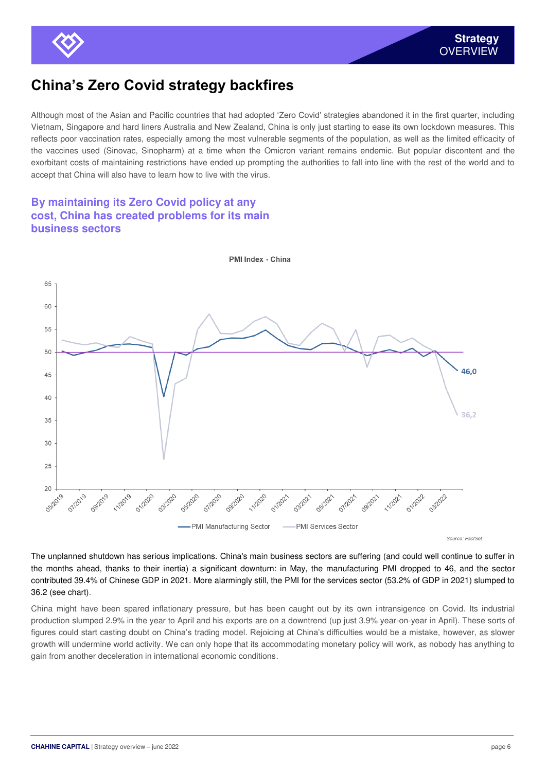

## **China's Zero Covid strategy backfires**

Although most of the Asian and Pacific countries that had adopted 'Zero Covid' strategies abandoned it in the first quarter, including Vietnam, Singapore and hard liners Australia and New Zealand, China is only just starting to ease its own lockdown measures. This reflects poor vaccination rates, especially among the most vulnerable segments of the population, as well as the limited efficacity of the vaccines used (Sinovac, Sinopharm) at a time when the Omicron variant remains endemic. But popular discontent and the exorbitant costs of maintaining restrictions have ended up prompting the authorities to fall into line with the rest of the world and to accept that China will also have to learn how to live with the virus.

#### **By maintaining its Zero Covid policy at any cost, China has created problems for its main business sectors**



PMI Index - China

Source: FactSet

The unplanned shutdown has serious implications. China's main business sectors are suffering (and could well continue to suffer in the months ahead, thanks to their inertia) a significant downturn: in May, the manufacturing PMI dropped to 46, and the sector contributed 39.4% of Chinese GDP in 2021. More alarmingly still, the PMI for the services sector (53.2% of GDP in 2021) slumped to 36.2 (see chart).

China might have been spared inflationary pressure, but has been caught out by its own intransigence on Covid. Its industrial production slumped 2.9% in the year to April and his exports are on a downtrend (up just 3.9% year-on-year in April). These sorts of figures could start casting doubt on China's trading model. Rejoicing at China's difficulties would be a mistake, however, as slower growth will undermine world activity. We can only hope that its accommodating monetary policy will work, as nobody has anything to gain from another deceleration in international economic conditions.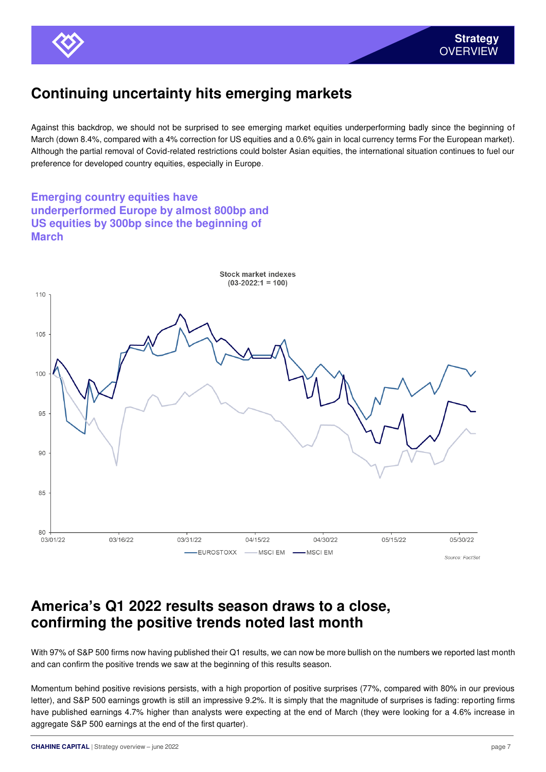

# **Continuing uncertainty hits emerging markets**

Against this backdrop, we should not be surprised to see emerging market equities underperforming badly since the beginning of March (down 8.4%, compared with a 4% correction for US equities and a 0.6% gain in local currency terms For the European market). Although the partial removal of Covid-related restrictions could bolster Asian equities, the international situation continues to fuel our preference for developed country equities, especially in Europe.

**Emerging country equities have underperformed Europe by almost 800bp and US equities by 300bp since the beginning of March** 



## **America's Q1 2022 results season draws to a close, confirming the positive trends noted last month**

With 97% of S&P 500 firms now having published their Q1 results, we can now be more bullish on the numbers we reported last month and can confirm the positive trends we saw at the beginning of this results season.

Momentum behind positive revisions persists, with a high proportion of positive surprises (77%, compared with 80% in our previous letter), and S&P 500 earnings growth is still an impressive 9.2%. It is simply that the magnitude of surprises is fading: reporting firms have published earnings 4.7% higher than analysts were expecting at the end of March (they were looking for a 4.6% increase in aggregate S&P 500 earnings at the end of the first quarter).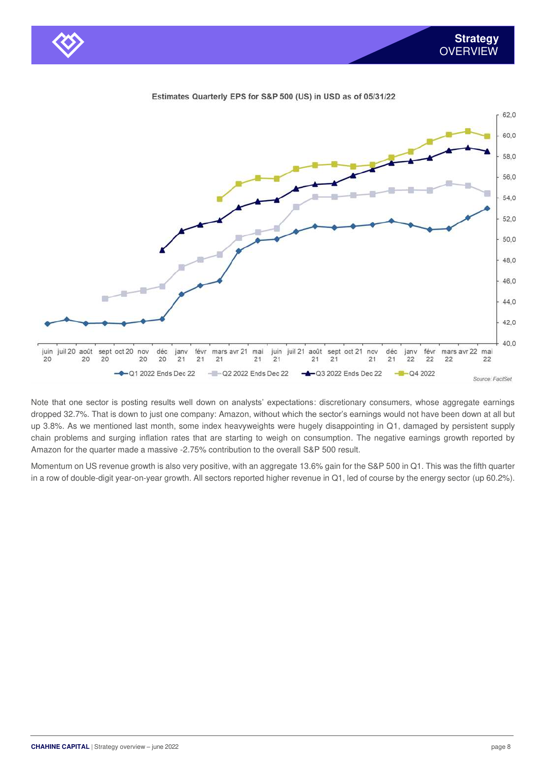

Estimates Quarterly EPS for S&P 500 (US) in USD as of 05/31/22

Note that one sector is posting results well down on analysts' expectations: discretionary consumers, whose aggregate earnings dropped 32.7%. That is down to just one company: Amazon, without which the sector's earnings would not have been down at all but up 3.8%. As we mentioned last month, some index heavyweights were hugely disappointing in Q1, damaged by persistent supply chain problems and surging inflation rates that are starting to weigh on consumption. The negative earnings growth reported by Amazon for the quarter made a massive -2.75% contribution to the overall S&P 500 result.

Momentum on US revenue growth is also very positive, with an aggregate 13.6% gain for the S&P 500 in Q1. This was the fifth quarter in a row of double-digit year-on-year growth. All sectors reported higher revenue in Q1, led of course by the energy sector (up 60.2%).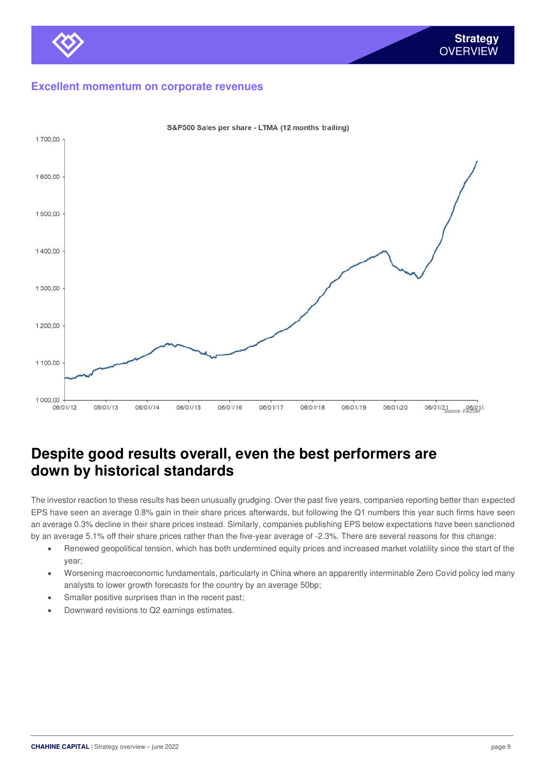#### **Excellent momentum on corporate revenues**



S&P500 Sales per share - LTMA (12 months trailing)

## **Despite good results overall, even the best performers are down by historical standards**

The investor reaction to these results has been unusually grudging. Over the past five years, companies reporting better than expected EPS have seen an average 0.8% gain in their share prices afterwards, but following the Q1 numbers this year such firms have seen an average 0.3% decline in their share prices instead. Similarly, companies publishing EPS below expectations have been sanctioned by an average 5.1% off their share prices rather than the five-year average of -2.3%. There are several reasons for this change:

- Renewed geopolitical tension, which has both undermined equity prices and increased market volatility since the start of the year;
- Worsening macroeconomic fundamentals, particularly in China where an apparently interminable Zero Covid policy led many analysts to lower growth forecasts for the country by an average 50bp;
- Smaller positive surprises than in the recent past;
- Downward revisions to Q2 earnings estimates.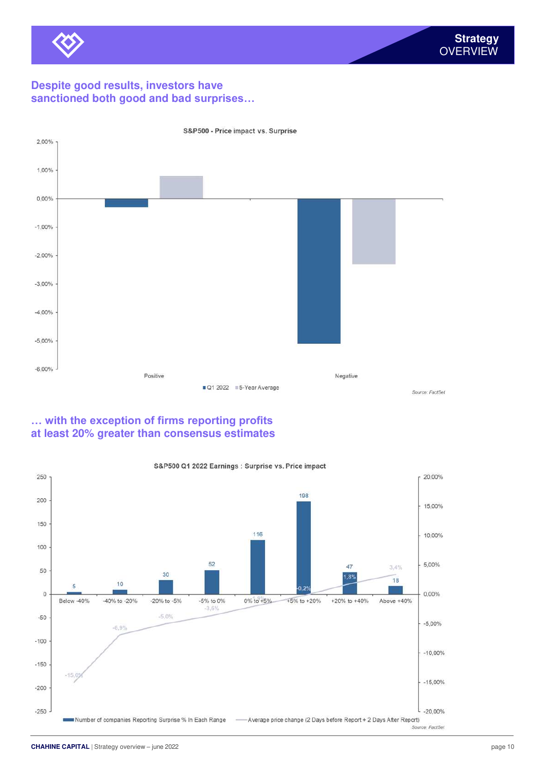

### **Despite good results, investors have sanctioned both good and bad surprises…**



S&P500 - Price impact vs. Surprise

### **… with the exception of firms reporting profits at least 20% greater than consensus estimates**

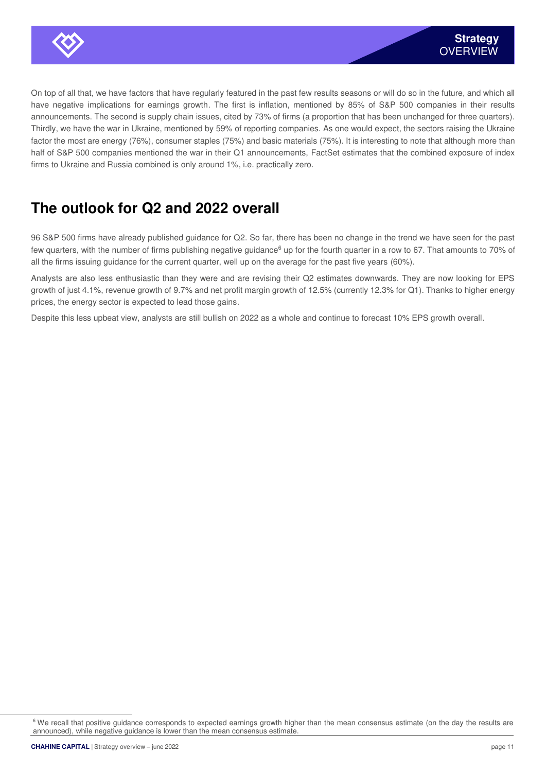

On top of all that, we have factors that have regularly featured in the past few results seasons or will do so in the future, and which all have negative implications for earnings growth. The first is inflation, mentioned by 85% of S&P 500 companies in their results announcements. The second is supply chain issues, cited by 73% of firms (a proportion that has been unchanged for three quarters). Thirdly, we have the war in Ukraine, mentioned by 59% of reporting companies. As one would expect, the sectors raising the Ukraine factor the most are energy (76%), consumer staples (75%) and basic materials (75%). It is interesting to note that although more than half of S&P 500 companies mentioned the war in their Q1 announcements, FactSet estimates that the combined exposure of index firms to Ukraine and Russia combined is only around 1%, i.e. practically zero.

# **The outlook for Q2 and 2022 overall**

96 S&P 500 firms have already published guidance for Q2. So far, there has been no change in the trend we have seen for the past few quarters, with the number of firms publishing negative guidance<sup>6</sup> up for the fourth quarter in a row to 67. That amounts to 70% of all the firms issuing guidance for the current quarter, well up on the average for the past five years (60%).

Analysts are also less enthusiastic than they were and are revising their Q2 estimates downwards. They are now looking for EPS growth of just 4.1%, revenue growth of 9.7% and net profit margin growth of 12.5% (currently 12.3% for Q1). Thanks to higher energy prices, the energy sector is expected to lead those gains.

Despite this less upbeat view, analysts are still bullish on 2022 as a whole and continue to forecast 10% EPS growth overall.

<sup>&</sup>lt;sup>6</sup> We recall that positive guidance corresponds to expected earnings growth higher than the mean consensus estimate (on the day the results are announced), while negative guidance is lower than the mean consensus estimate.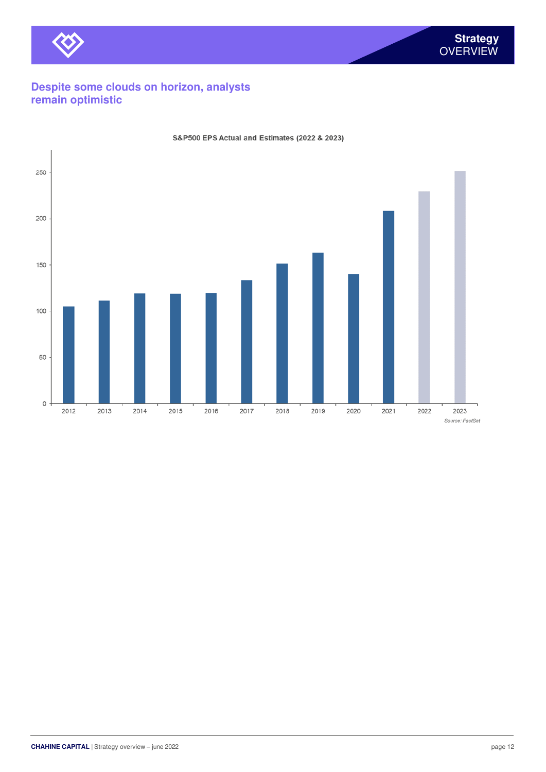

### **Despite some clouds on horizon, analysts remain optimistic**



#### S&P500 EPS Actual and Estimates (2022 & 2023)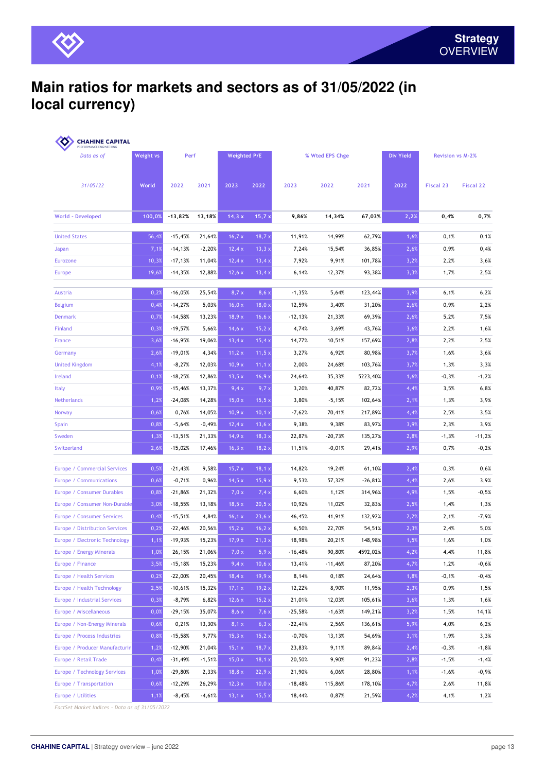

## **Main ratios for markets and sectors as of 31/05/2022 (in local currency)**

| Data as of<br>31/05/22         | Weight vs<br>World | Perf      |          | Weighted P/E |              | % Wted EPS Chge |           |           | <b>Div Yield</b> | <b>Revision vs M-2%</b> |                  |
|--------------------------------|--------------------|-----------|----------|--------------|--------------|-----------------|-----------|-----------|------------------|-------------------------|------------------|
|                                |                    | 2022      | 2021     | 2023         | 2022         | 2023            | 2022      | 2021      | 2022             | <b>Fiscal 23</b>        | <b>Fiscal 22</b> |
| <b>World - Developed</b>       | 100,0%             | $-13,82%$ | 13,18%   | 14,3x        | 15,7x        | 9,86%           | 14,34%    | 67,03%    | 2,2%             | 0,4%                    | 0,7%             |
| <b>United States</b>           | 56,4%              | $-15,45%$ | 21,64%   | 16,7x        | 18,7x        | 11,91%          | 14,99%    | 62,79%    | 1,6%             | 0,1%                    | 0,1%             |
| Japan                          | 7,1%               | $-14,13%$ | $-2,20%$ | 12,4x        | 13,3x        | 7,24%           | 15,54%    | 36,85%    | 2,6%             | 0,9%                    | 0,4%             |
| Eurozone                       | 10,3%              | $-17,13%$ | 11,04%   | 12,4x        | 13,4;        | 7,92%           | 9,91%     | 101,78%   | 3,2%             | 2,2%                    | 3,6%             |
| <b>Europe</b>                  | 19,6%              | $-14,35%$ | 12,88%   | 12,6x        | 13,4x        | 6,14%           | 12,37%    | 93,38%    | 3,3%             | 1,7%                    | 2,5%             |
| Austria                        | 0,2%               | $-16,05%$ | 25,54%   | 8,7x         | $8,6 \times$ | $-1,35%$        | 5,64%     | 123,44%   | 3,9%             | 6,1%                    | 6,2%             |
| <b>Belgium</b>                 | 0,4%               | $-14,27%$ | 5,03%    | 16,0 x       | 18,0;        | 12,59%          | 3,40%     | 31,20%    | 2,6%             | 0,9%                    | 2,2%             |
| <b>Denmark</b>                 | 0,7%               | $-14,58%$ | 13,23%   | 18,9x        | 16,6x        | -12,13%         | 21,33%    | 69,39%    | 2,6%             | 5,2%                    | 7,5%             |
| Finland                        | 0,3%               | $-19,57%$ | 5,66%    | 14,6x        | 15,2;        | 4,74%           | 3,69%     | 43,76%    | 3,6%             | 2,2%                    | 1,6%             |
| France                         | 3,6%               | $-16,95%$ | 19,06%   | 13,4x        | 15,4;        | 14,77%          | 10,51%    | 157,69%   | 2,8%             | 2,2%                    | 2,5%             |
| Germany                        | 2,6%               | $-19,01%$ | 4,34%    | 11,2 x       | 11,5;        | 3,27%           | 6,92%     | 80,98%    | 3,7%             | 1,6%                    | 3,6%             |
| <b>United Kingdom</b>          | 4,1%               | $-8,27%$  | 12,03%   | 10,9x        | 11,1 x       | 2,00%           | 24,68%    | 103,76%   | 3,7%             | 1,3%                    | 3,3%             |
| Ireland                        | 0,1%               | $-18,25%$ | 12,86%   | 13,5x        | 16,9;        | 24,64%          | 35,33%    | 5223,40%  | 1,6%             | $-0,3%$                 | $-1,2%$          |
| <b>Italy</b>                   | 0,9%               | $-15,46%$ | 13,37%   | 9,4x         | 9,7,         | 3,20%           | 40,87%    | 82,72%    | 4,4%             | 3,5%                    | 6,8%             |
| <b>Netherlands</b>             | 1,2%               | $-24,08%$ | 14,28%   | 15,0 x       | 15,5x        | 3,80%           | $-5,15%$  | 102,64%   | 2,1%             | 1,3%                    | 3,9%             |
| Norway                         | 0,6%               | 0,76%     | 14,05%   | 10,9x        | 10,1)        | $-7,62%$        | 70,41%    | 217,89%   | 4,4%             | 2,5%                    | 3,5%             |
| Spain                          | 0,8%               | $-5,64%$  | $-0,49%$ | 12,4x        | 13,6x        | 9,38%           | 9,38%     | 83,97%    | 3,9%             | 2,3%                    | 3,9%             |
| Sweden                         | 1,3%               | $-13,51%$ | 21,33%   | 14,9x        | 18,3x        | 22,87%          | $-20,73%$ | 135,27%   | 2,8%             | $-1,3%$                 | $-11,2%$         |
| Switzerland                    | 2,6%               | $-15,02%$ | 17,46%   | 16, 3x       | 18,2 x       | 11,51%          | $-0,01%$  | 29,41%    | 2,9%             | 0,7%                    | $-0,2%$          |
|                                |                    |           |          |              |              |                 |           |           |                  |                         |                  |
| Europe / Commercial Services   | 0,5%               | $-21,43%$ | 9,58%    | 15,7x        | 18,1 x       | 14,82%          | 19,24%    | 61,10%    | 2,4%             | 0,3%                    | 0,6%             |
| Europe / Communications        | 0,6%               | $-0,71%$  | 0,96%    | 14,5x        | 15,9;        | 9,53%           | 57,32%    | $-26,81%$ | 4,4%             | 2,6%                    | 3,9%             |
| Europe / Consumer Durables     | 0,8%               | $-21,86%$ | 21,32%   | 7,0x         | 7,4;         | 6,60%           | 1,12%     | 314,96%   | 4,9%             | 1,5%                    | $-0,5%$          |
| Europe / Consumer Non-Durable  | 3,0%               | $-18,55%$ | 13,18%   | 18,5x        | 20,5x        | 10,92%          | 11,02%    | 32,83%    | 2,5%             | 1,4%                    | 1,3%             |
| Europe / Consumer Services     | 0,4%               | $-15,51%$ | 4,84%    | 16,1 x       | 23,6;        | 46,45%          | 41,91%    | 132,92%   | 2,2%             | 2,1%                    | $-7,9%$          |
| Europe / Distribution Services | 0,2%               | $-22,46%$ | 20,56%   | 15,2 x       | 16, 2)       | 6,50%           | 22,70%    | 54,51%    | 2,3%             | 2,4%                    | 5,0%             |
| Europe / Electronic Technology | 1,1%               | $-19,93%$ | 15,23%   | 17,9x        | 21,3x        | 18,98%          | 20,21%    | 148,98%   | 1,5%             | 1,6%                    | 1,0%             |
| Europe / Energy Minerals       | 1,0%               | 26,15%    | 21,06%   | 7,0 x        | 5,9x         | $-16,48%$       | 90,80%    | 4592,02%  | 4,2%             | 4,4%                    | 11,8%            |
| Europe / Finance               | 3,5%               | $-15,18%$ | 15,23%   | 9,4x         | 10,6x        | 13,41%          | $-11,46%$ | 87,20%    | 4,7%             | 1,2%                    | $-0,6%$          |
| Europe / Health Services       | 0,2%               | $-22,00%$ | 20,45%   | 18,4 x       | 19,9x        | 8,14%           | 0,18%     | 24,64%    | 1,8%             | $-0,1%$                 | $-0,4%$          |
| Europe / Health Technology     | 2,5%               | $-10,61%$ | 15,32%   | 17,1 x       | 19,2x        | 12,22%          | 8,90%     | 11,95%    | 2,3%             | 0,9%                    | 1,5%             |
| Europe / Industrial Services   | 0,3%               | $-8,79%$  | 6,82%    | 12,6 x       | 15,2x        | 21,01%          | 12,03%    | 105,61%   | 3,6%             | 1,3%                    | 1,6%             |
| Europe / Miscellaneous         | 0,0%               | $-29,15%$ | 35,07%   | $8,6 \times$ | 7,6x         | $-25,58%$       | $-1,63%$  | 149,21%   | 3,2%             | 1,5%                    | 14,1%            |
| Europe / Non-Energy Minerals   | 0,6%               | 0,21%     | 13,30%   | 8,1 x        | 6,3x         | $-22,41%$       | 2,56%     | 136,61%   | 5,9%             | 4,0%                    | 6,2%             |
| Europe / Process Industries    | 0,8%               | $-15,58%$ | 9,77%    | 15,3x        | 15,2x        | $-0,70%$        | 13,13%    | 54,69%    | 3,1%             | 1,9%                    | 3,3%             |
| Europe / Producer Manufacturin | 1,2%               | $-12,90%$ | 21,04%   | 15,1 x       | 18,7x        | 23,83%          | 9,11%     | 89,84%    | 2,4%             | $-0,3%$                 | $-1,8%$          |
| Europe / Retail Trade          | 0,4%               | $-31,49%$ | $-1,51%$ | 15,0 x       | 18,1 x       | 20,50%          | 9,90%     | 91,23%    | 2,8%             | $-1,5%$                 | $-1,4%$          |
|                                |                    | $-29,80%$ | 2,33%    | 18,8 x       | 22,9x        | 21,90%          | 6,06%     | 28,80%    | 1,1%             | $-1,6%$                 | $-0,9%$          |
| Europe / Technology Services   | 1,0%               |           |          |              |              |                 |           |           |                  |                         |                  |
| Europe / Transportation        | 0,6%               | $-12,29%$ | 26,29%   | 12, 3x       | 10,0 x       | $-18,48%$       | 115,86%   | 178,10%   | 4,7%             | 2,6%                    | 11,8%            |

*FactSet Market Indices - Data as of 31/05/2022*